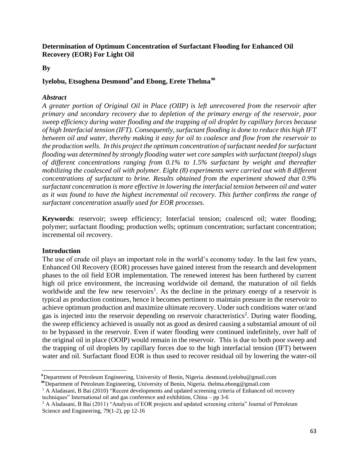**By**

### Iyelobu, Etsoghena Desmond\*and Ebong, Erete Thelma<sup>\*\*</sup>

### *Abstract*

*A greater portion of Original Oil in Place (OIIP) is left unrecovered from the reservoir after primary and secondary recovery due to depletion of the primary energy of the reservoir, poor sweep efficiency during water flooding and the trapping of oil droplet by capillary forces because of high Interfacial tension (IFT). Consequently, surfactant flooding is done to reduce this high IFT between oil and water, thereby making it easy for oil to coalesce and flow from the reservoir to the production wells. In this project the optimum concentration of surfactant needed for surfactant flooding was determined by strongly flooding water wet core samples with surfactant (teepol) slugs of different concentrations ranging from 0.1% to 1.5% surfactant by weight and thereafter mobilizing the coalesced oil with polymer. Eight (8) experiments were carried out with 8 different concentrations of surfactant to brine. Results obtained from the experiment showed that 0.9% surfactant concentration is more effective in lowering the interfacial tension between oil and water as it was found to have the highest incremental oil recovery. This further confirms the range of surfactant concentration usually used for EOR processes.*

**Keywords**: reservoir; sweep efficiency; Interfacial tension; coalesced oil; water flooding; polymer; surfactant flooding; production wells; optimum concentration; surfactant concentration; incremental oil recovery.

### **Introduction**

The use of crude oil plays an important role in the world's economy today. In the last few years, Enhanced Oil Recovery (EOR) processes have gained interest from the research and development phases to the oil field EOR implementation. The renewed interest has been furthered by current high oil price environment, the increasing worldwide oil demand, the maturation of oil fields worldwide and the few new reservoirs<sup>1</sup>. As the decline in the primary energy of a reservoir is typical as production continues, hence it becomes pertinent to maintain pressure in the reservoir to achieve optimum production and maximize ultimate recovery. Under such conditions water or/and gas is injected into the reservoir depending on reservoir characteristics<sup>2</sup>. During water flooding, the sweep efficiency achieved is usually not as good as desired causing a substantial amount of oil to be bypassed in the reservoir. Even if water flooding were continued indefinitely, over half of the original oil in place (OOIP) would remain in the reservoir. This is due to both poor sweep and the trapping of oil droplets by capillary forces due to the high interfacial tension (IFT) between water and oil. Surfactant flood EOR is thus used to recover residual oil by lowering the water-oil

<sup>⃰</sup>Department of Petroleum Engineering, University of Benin, Nigeria. desmond.iyelobu@gmail.com

<sup>⃰ ⃰</sup>Department of Petroleum Engineering, University of Benin, Nigeria. thelma.ebong@gmail.com

<sup>&</sup>lt;sup>1</sup> A Aladasani, B Bai (2010) "Recent developments and updated screening criteria of Enhanced oil recovery techniques" International oil and gas conference and exhibition, China – pp 3-6

<sup>&</sup>lt;sup>2</sup> A Aladasani, B Bai (2011) "Analysis of EOR projects and updated screening criteria" Journal of Petroleum Science and Engineering, 79(1-2), pp 12-16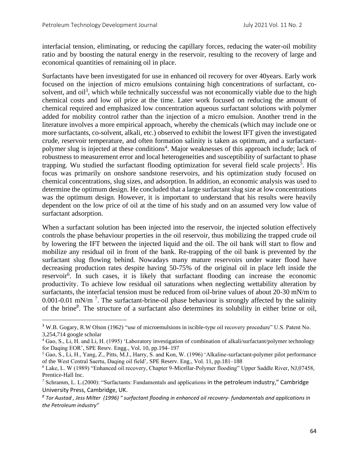interfacial tension, eliminating, or reducing the capillary forces, reducing the water-oil mobility ratio and by boosting the natural energy in the reservoir, resulting to the recovery of large and economical quantities of remaining oil in place.

Surfactants have been investigated for use in enhanced oil recovery for over 40years. Early work focused on the injection of micro emulsions containing high concentrations of surfactant, cosolvent, and oil<sup>3</sup>, which while technically successful was not economically viable due to the high chemical costs and low oil price at the time. Later work focused on reducing the amount of chemical required and emphasized low concentration aqueous surfactant solutions with polymer added for mobility control rather than the injection of a micro emulsion. Another trend in the literature involves a more empirical approach, whereby the chemicals (which may include one or more surfactants, co-solvent, alkali, etc.) observed to exhibit the lowest IFT given the investigated crude, reservoir temperature, and often formation salinity is taken as optimum, and a surfactantpolymer slug is injected at these conditions<sup>4</sup>. Major weaknesses of this approach include; lack of robustness to measurement error and local heterogeneities and susceptibility of surfactant to phase trapping. Wu studied the surfactant flooding optimization for several field scale projects<sup>5</sup>. His focus was primarily on onshore sandstone reservoirs, and his optimization study focused on chemical concentrations, slug sizes, and adsorption. In addition, an economic analysis was used to determine the optimum design. He concluded that a large surfactant slug size at low concentrations was the optimum design. However, it is important to understand that his results were heavily dependent on the low price of oil at the time of his study and on an assumed very low value of surfactant adsorption.

When a surfactant solution has been injected into the reservoir, the injected solution effectively controls the phase behaviour properties in the oil reservoir, thus mobilizing the trapped crude oil by lowering the IFT between the injected liquid and the oil. The oil bank will start to flow and mobilize any residual oil in front of the bank. Re-trapping of the oil bank is prevented by the surfactant slug flowing behind. Nowadays many mature reservoirs under water flood have decreasing production rates despite having 50-75% of the original oil in place left inside the reservoir<sup>6</sup>. In such cases, it is likely that surfactant flooding can increase the economic productivity. To achieve low residual oil saturations when neglecting wettability alteration by surfactants, the interfacial tension must be reduced from oil-brine values of about 20-30 mN/m to 0.001-0.01 mN/m<sup>7</sup>. The surfactant-brine-oil phase behaviour is strongly affected by the salinity of the brine<sup>8</sup>. The structure of a surfactant also determines its solubility in either brine or oil,

<sup>3</sup> W.B. Gogary, R.W Olson (1962) "use of microemulsions in iscible-type oil recovery procedure" U.S. Patent No. 3,254,714 google scholar

*<sup>4</sup>* Gao, S., Li, H. and Li, H. (1995) 'Laboratory investigation of combination of alkali/surfactant/polymer technology for Daqing EOR', SPE Resrv. Engg., Vol. 10, pp.194–197

*<sup>5</sup>* Gao, S., Li, H., Yang, Z., Pitts, M.J., Harry, S. and Kon, W. (1996) 'Alkaline-surfactant-polymer pilot performance of the West Central Saertu, Daqing oil field', SPE Reserv. Eng., Vol. 11, pp.181–188

*<sup>6</sup>* Lake, L. W (1989) "Enhanced oil recovery, Chapter 9-Micellar-Polymer flooding" Upper Saddle River, NJ,07458, Prentice-Hall Inc.

*<sup>7</sup>* Schramm, L. L.(2000): "Surfactants: Fundamentals and applications in the petroleum industry," Cambridge University Press, Cambridge, UK.

*<sup>8</sup> Tor Austad , Jess Milter (1996) " surfactant flooding in enhanced oil recovery- fundamentals and applications in the Petroleum industry"*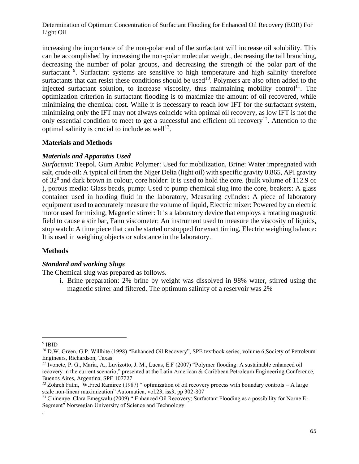increasing the importance of the non-polar end of the surfactant will increase oil solubility. This can be accomplished by increasing the non-polar molecular weight, decreasing the tail branching, decreasing the number of polar groups, and decreasing the strength of the polar part of the surfactant  $9$ . Surfactant systems are sensitive to high temperature and high salinity therefore surfactants that can resist these conditions should be used<sup>10</sup>. Polymers are also often added to the injected surfactant solution, to increase viscosity, thus maintaining mobility control<sup>11</sup>. The optimization criterion in surfactant flooding is to maximize the amount of oil recovered, while minimizing the chemical cost. While it is necessary to reach low IFT for the surfactant system, minimizing only the IFT may not always coincide with optimal oil recovery, as low IFT is not the only essential condition to meet to get a successful and efficient oil recovery<sup>12</sup>. Attention to the optimal salinity is crucial to include as well $^{13}$ .

### **Materials and Methods**

### *Materials and Apparatus Used*

*Surfactan*t: Teepol, Gum Arabic Polymer: Used for mobilization, Brine: Water impregnated with salt, crude oil: A typical oil from the Niger Delta (light oil) with specific gravity 0.865, API gravity of  $32^{\circ}$  and dark brown in colour, core holder: It is used to hold the core. (bulk volume of 112.9 cc ), porous media: Glass beads, pump: Used to pump chemical slug into the core, beakers: A glass container used in holding fluid in the laboratory, Measuring cylinder: A piece of laboratory equipment used to accurately measure the volume of liquid, Electric mixer: Powered by an electric motor used for mixing, Magnetic stirrer: It is a laboratory device that employs a rotating magnetic field to cause a stir bar, Fann viscometer: An instrument used to measure the viscosity of liquids, stop watch: A time piece that can be started or stopped for exact timing, Electric weighing balance: It is used in weighing objects or substance in the laboratory.

### **Methods**

### *Standard and working Slugs*

The Chemical slug was prepared as follows.

i. Brine preparation: 2% brine by weight was dissolved in 98% water, stirred using the magnetic stirrer and filtered. The optimum salinity of a reservoir was 2%

*9* IBID

.

*<sup>10</sup>* D.W. Green, G.P. Willhite (1998) "Enhanced Oil Recovery", SPE textbook series, volume 6,Society of Petroleum Engineers, Richardson, Texas

*<sup>11</sup>* Ivonete, P. G., Maria, A., Luvizotto, J. M., Lucas, E.F (2007) "Polymer flooding: A sustainable enhanced oil recovery in the current scenario," presented at the Latin American & Caribbean Petroleum Engineering Conference, Buenos Aires, Argentina, SPE 107727

*<sup>12</sup>* Zohreh Fathi, W.Fred Ramirez (1987) " optimization of oil recovery process with boundary controls – A large scale non-linear maximization" Automatica, vol.23, iss3, pp 302-307

*<sup>13</sup>* Chinenye Clara Emegwalu (2009) " Enhanced Oil Recovery; Surfactant Flooding as a possibility for Norne E-Segment" Norwegian University of Science and Technology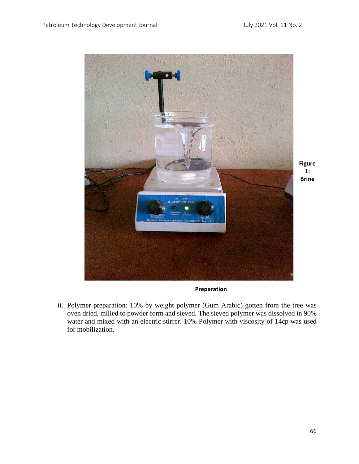

**Preparation**

ii. Polymer preparation: 10% by weight polymer (Gum Arabic) gotten from the tree was oven dried, milled to powder form and sieved. The sieved polymer was dissolved in 90% water and mixed with an electric stirrer. 10% Polymer with viscosity of 14cp was used for mobilization.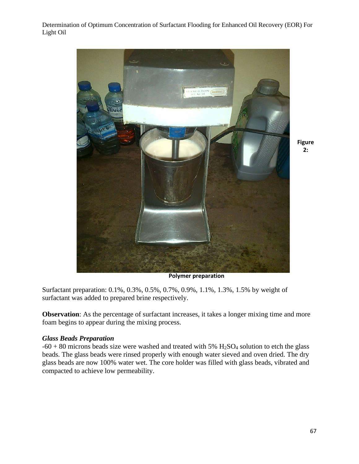

**Figure 2:** 

**Polymer preparation**

Surfactant preparation: 0.1%, 0.3%, 0.5%, 0.7%, 0.9%, 1.1%, 1.3%, 1.5% by weight of surfactant was added to prepared brine respectively.

**Observation**: As the percentage of surfactant increases, it takes a longer mixing time and more foam begins to appear during the mixing process.

### *Glass Beads Preparation*

 $-60 + 80$  microns beads size were washed and treated with 5% H<sub>2</sub>SO<sub>4</sub> solution to etch the glass beads. The glass beads were rinsed properly with enough water sieved and oven dried. The dry glass beads are now 100% water wet. The core holder was filled with glass beads, vibrated and compacted to achieve low permeability.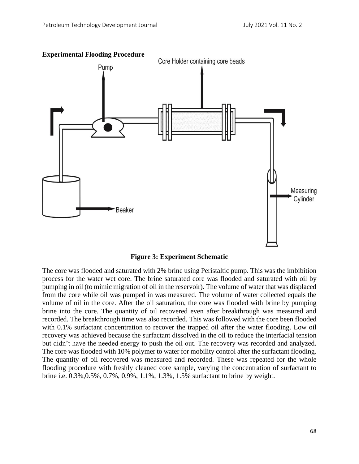

#### **Experimental Flooding Procedure**

**Figure 3: Experiment Schematic**

The core was flooded and saturated with 2% brine using Peristaltic pump. This was the imbibition process for the water wet core. The brine saturated core was flooded and saturated with oil by pumping in oil (to mimic migration of oil in the reservoir). The volume of water that was displaced from the core while oil was pumped in was measured. The volume of water collected equals the volume of oil in the core. After the oil saturation, the core was flooded with brine by pumping brine into the core. The quantity of oil recovered even after breakthrough was measured and recorded. The breakthrough time was also recorded. This was followed with the core been flooded with 0.1% surfactant concentration to recover the trapped oil after the water flooding. Low oil recovery was achieved because the surfactant dissolved in the oil to reduce the interfacial tension but didn't have the needed energy to push the oil out. The recovery was recorded and analyzed. The core was flooded with 10% polymer to water for mobility control after the surfactant flooding. The quantity of oil recovered was measured and recorded. These was repeated for the whole flooding procedure with freshly cleaned core sample, varying the concentration of surfactant to brine i.e. 0.3%,0.5%, 0.7%, 0.9%, 1.1%, 1.3%, 1.5% surfactant to brine by weight.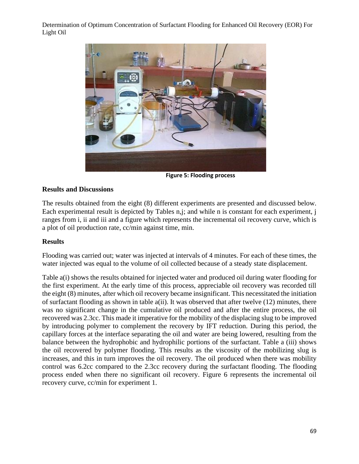

**Figure 5: Flooding process**

### **Results and Discussions**

The results obtained from the eight (8) different experiments are presented and discussed below. Each experimental result is depicted by Tables n,j; and while n is constant for each experiment, i ranges from i, ii and iii and a figure which represents the incremental oil recovery curve, which is a plot of oil production rate, cc/min against time, min.

### **Results**

Flooding was carried out; water was injected at intervals of 4 minutes. For each of these times, the water injected was equal to the volume of oil collected because of a steady state displacement.

Table a(i) shows the results obtained for injected water and produced oil during water flooding for the first experiment. At the early time of this process, appreciable oil recovery was recorded till the eight (8) minutes, after which oil recovery became insignificant. This necessitated the initiation of surfactant flooding as shown in table a(ii). It was observed that after twelve (12) minutes, there was no significant change in the cumulative oil produced and after the entire process, the oil recovered was 2.3cc. This made it imperative for the mobility of the displacing slug to be improved by introducing polymer to complement the recovery by IFT reduction. During this period, the capillary forces at the interface separating the oil and water are being lowered, resulting from the balance between the hydrophobic and hydrophilic portions of the surfactant. Table a (iii) shows the oil recovered by polymer flooding. This results as the viscosity of the mobilizing slug is increases, and this in turn improves the oil recovery. The oil produced when there was mobility control was 6.2cc compared to the 2.3cc recovery during the surfactant flooding. The flooding process ended when there no significant oil recovery. Figure 6 represents the incremental oil recovery curve, cc/min for experiment 1.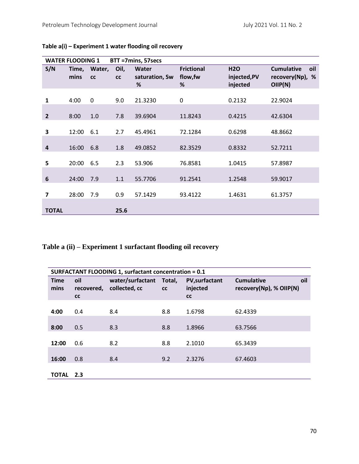|                         | <b>WATER FLOODING 1</b> |                    |            | BTT =7mins, 57secs           |                                    |                                       |                                                           |
|-------------------------|-------------------------|--------------------|------------|------------------------------|------------------------------------|---------------------------------------|-----------------------------------------------------------|
| S/N                     | mins                    | Time, Water,<br>cc | Oil,<br>cc | Water<br>saturation, Sw<br>% | <b>Frictional</b><br>flow, fw<br>% | <b>H2O</b><br>injected,PV<br>injected | <b>Cumulative</b><br>oil<br>recovery(Np),<br>%<br>OIIP(N) |
| 1                       | 4:00                    | $\mathbf 0$        | 9.0        | 21.3230                      | 0                                  | 0.2132                                | 22.9024                                                   |
| $\overline{2}$          | 8:00                    | 1.0                | 7.8        | 39.6904                      | 11.8243                            | 0.4215                                | 42.6304                                                   |
| 3                       | 12:00                   | 6.1                | 2.7        | 45.4961                      | 72.1284                            | 0.6298                                | 48.8662                                                   |
| $\overline{\mathbf{4}}$ | 16:00                   | 6.8                | 1.8        | 49.0852                      | 82.3529                            | 0.8332                                | 52.7211                                                   |
| 5                       | 20:00                   | 6.5                | 2.3        | 53.906                       | 76.8581                            | 1.0415                                | 57.8987                                                   |
| $6\phantom{1}6$         | 24:00                   | 7.9                | 1.1        | 55.7706                      | 91.2541                            | 1.2548                                | 59.9017                                                   |
| 7                       | 28:00                   | 7.9                | 0.9        | 57.1429                      | 93.4122                            | 1.4631                                | 61.3757                                                   |
| <b>TOTAL</b>            |                         |                    | 25.6       |                              |                                    |                                       |                                                           |

## **Table a(i) – Experiment 1 water flooding oil recovery**

# **Table a (ii) – Experiment 1 surfactant flooding oil recovery**

|                     | <b>SURFACTANT FLOODING 1, surfactant concentration = 0.1</b> |                                   |              |                                               |                                                     |  |  |
|---------------------|--------------------------------------------------------------|-----------------------------------|--------------|-----------------------------------------------|-----------------------------------------------------|--|--|
| <b>Time</b><br>mins | oil<br>recovered,<br>cc                                      | water/surfactant<br>collected, cc | Total,<br>cc | <b>PV,surfactant</b><br>injected<br><b>CC</b> | oil<br><b>Cumulative</b><br>recovery(Np), % OIIP(N) |  |  |
| 4:00                | 0.4                                                          | 8.4                               | 8.8          | 1.6798                                        | 62.4339                                             |  |  |
| 8:00                | 0.5                                                          | 8.3                               | 8.8          | 1.8966                                        | 63.7566                                             |  |  |
| 12:00               | 0.6                                                          | 8.2                               | 8.8          | 2.1010                                        | 65.3439                                             |  |  |
| 16:00               | 0.8                                                          | 8.4                               | 9.2          | 2.3276                                        | 67.4603                                             |  |  |
| <b>TOTAL</b>        | 2.3                                                          |                                   |              |                                               |                                                     |  |  |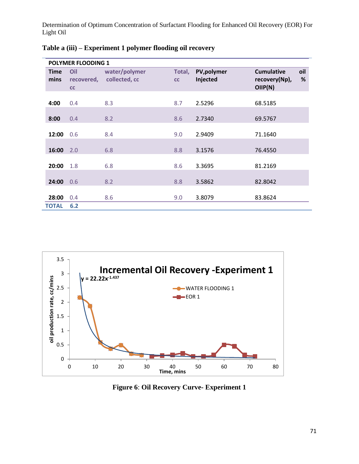|                     | <b>POLYMER FLOODING 1</b> |                                |              |                         |                                               |             |
|---------------------|---------------------------|--------------------------------|--------------|-------------------------|-----------------------------------------------|-------------|
| <b>Time</b><br>mins | Oil<br>recovered,<br>cc   | water/polymer<br>collected, cc | Total,<br>cc | PV, polymer<br>Injected | <b>Cumulative</b><br>recovery(Np),<br>OIIP(N) | oil<br>$\%$ |
| 4:00                | 0.4                       | 8.3                            | 8.7          | 2.5296                  | 68.5185                                       |             |
| 8:00                | 0.4                       | 8.2                            | 8.6          | 2.7340                  | 69.5767                                       |             |
| 12:00               | 0.6                       | 8.4                            | 9.0          | 2.9409                  | 71.1640                                       |             |
| 16:00               | 2.0                       | 6.8                            | 8.8          | 3.1576                  | 76.4550                                       |             |
| 20:00               | 1.8                       | 6.8                            | 8.6          | 3.3695                  | 81.2169                                       |             |
| 24:00               | 0.6                       | 8.2                            | 8.8          | 3.5862                  | 82.8042                                       |             |
| 28:00               | 0.4                       | 8.6                            | 9.0          | 3.8079                  | 83.8624                                       |             |
| <b>TOTAL</b>        | 6.2                       |                                |              |                         |                                               |             |

**Table a (iii) – Experiment 1 polymer flooding oil recovery**



**Figure 6**: **Oil Recovery Curve- Experiment 1**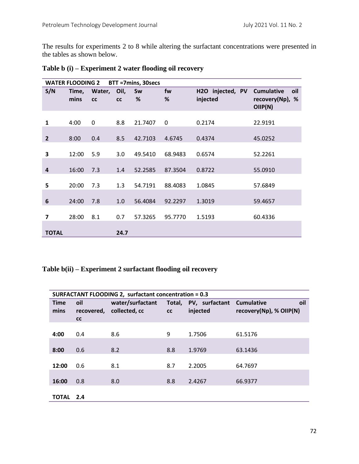The results for experiments 2 to 8 while altering the surfactant concentrations were presented in the tables as shown below.

|                         | <b>WATER FLOODING 2</b> |              |                   | BTT =7mins, 30secs |              |                              |                                                       |
|-------------------------|-------------------------|--------------|-------------------|--------------------|--------------|------------------------------|-------------------------------------------------------|
| S/N                     | Time,<br>mins           | Water,<br>cc | Oil,<br><b>CC</b> | Sw<br>%            | fw<br>%      | H2O injected, PV<br>injected | <b>Cumulative</b><br>oil<br>recovery(Np), %<br>OIP(N) |
| 1                       | 4:00                    | $\mathbf 0$  | 8.8               | 21.7407            | $\mathbf{0}$ | 0.2174                       | 22.9191                                               |
| $\overline{2}$          | 8:00                    | 0.4          | 8.5               | 42.7103            | 4.6745       | 0.4374                       | 45.0252                                               |
| 3                       | 12:00                   | 5.9          | 3.0               | 49.5410            | 68.9483      | 0.6574                       | 52.2261                                               |
| $\overline{4}$          | 16:00                   | 7.3          | 1.4               | 52.2585            | 87.3504      | 0.8722                       | 55.0910                                               |
| 5                       | 20:00                   | 7.3          | 1.3               | 54.7191            | 88.4083      | 1.0845                       | 57.6849                                               |
| 6                       | 24:00                   | 7.8          | 1.0               | 56.4084            | 92.2297      | 1.3019                       | 59.4657                                               |
| $\overline{\mathbf{z}}$ | 28:00                   | 8.1          | 0.7               | 57.3265            | 95.7770      | 1.5193                       | 60.4336                                               |
| <b>TOTAL</b>            |                         |              | 24.7              |                    |              |                              |                                                       |

|  |  |  |  | Table b (i) – Experiment 2 water flooding oil recovery |  |  |  |  |  |
|--|--|--|--|--------------------------------------------------------|--|--|--|--|--|
|--|--|--|--|--------------------------------------------------------|--|--|--|--|--|

**Table b(ii) – Experiment 2 surfactant flooding oil recovery**

|                     | <b>SURFACTANT FLOODING 2, surfactant concentration = 0.3</b> |                                   |              |                            |                                                     |  |  |  |
|---------------------|--------------------------------------------------------------|-----------------------------------|--------------|----------------------------|-----------------------------------------------------|--|--|--|
| <b>Time</b><br>mins | oil<br>recovered,<br>cc                                      | water/surfactant<br>collected, cc | Total,<br>cc | PV, surfactant<br>injected | oil<br><b>Cumulative</b><br>recovery(Np), % OIIP(N) |  |  |  |
| 4:00                | 0.4                                                          | 8.6                               | 9            | 1.7506                     | 61.5176                                             |  |  |  |
| 8:00                | 0.6                                                          | 8.2                               | 8.8          | 1.9769                     | 63.1436                                             |  |  |  |
| 12:00               | 0.6                                                          | 8.1                               | 8.7          | 2.2005                     | 64.7697                                             |  |  |  |
| 16:00               | 0.8                                                          | 8.0                               | 8.8          | 2.4267                     | 66.9377                                             |  |  |  |
| TOTAL               | 2.4                                                          |                                   |              |                            |                                                     |  |  |  |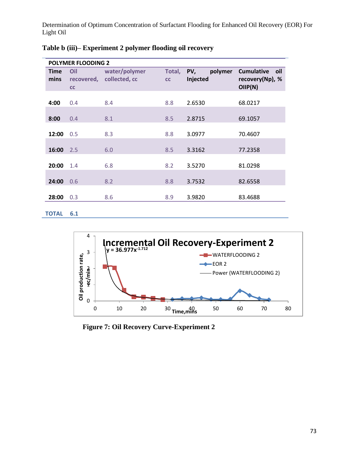|                     | <b>POLYMER FLOODING 2</b> |                                |              |                            |                                                        |
|---------------------|---------------------------|--------------------------------|--------------|----------------------------|--------------------------------------------------------|
| <b>Time</b><br>mins | Oil<br>recovered,<br>cc   | water/polymer<br>collected, cc | Total,<br>cc | polymer<br>PV,<br>Injected | <b>Cumulative</b><br>oil<br>recovery(Np), %<br>OIIP(N) |
| 4:00                | 0.4                       | 8.4                            | 8.8          | 2.6530                     | 68.0217                                                |
| 8:00                | 0.4                       | 8.1                            | 8.5          | 2.8715                     | 69.1057                                                |
| 12:00               | 0.5                       | 8.3                            | 8.8          | 3.0977                     | 70.4607                                                |
| 16:00               | 2.5                       | 6.0                            | 8.5          | 3.3162                     | 77.2358                                                |
| 20:00               | 1.4                       | 6.8                            | 8.2          | 3.5270                     | 81.0298                                                |
| 24:00               | 0.6                       | 8.2                            | 8.8          | 3.7532                     | 82.6558                                                |
| 28:00               | 0.3                       | 8.6                            | 8.9          | 3.9820                     | 83.4688                                                |
| <b>TOTAL</b>        | 6.1                       |                                |              |                            |                                                        |

| Table b (iii)– Experiment 2 polymer flooding oil recovery |  |  |  |  |  |  |
|-----------------------------------------------------------|--|--|--|--|--|--|
|-----------------------------------------------------------|--|--|--|--|--|--|



 **Figure 7: Oil Recovery Curve-Experiment 2**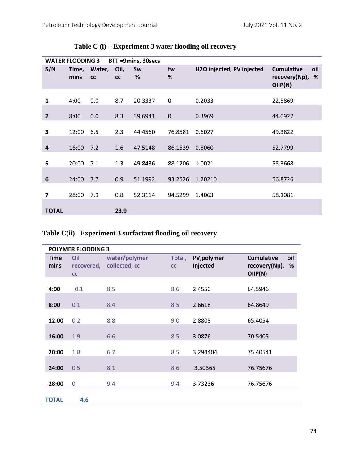|                | <b>WATER FLOODING 3</b> |                    |            | BTT =9mins, 30secs |           |                           |                                                           |
|----------------|-------------------------|--------------------|------------|--------------------|-----------|---------------------------|-----------------------------------------------------------|
| S/N            | mins                    | Time, Water,<br>cc | Oil,<br>cc | Sw<br>%            | fw<br>%   | H2O injected, PV injected | oil<br><b>Cumulative</b><br>recovery(Np),<br>%<br>OIIP(N) |
| 1              | 4:00                    | 0.0                | 8.7        | 20.3337            | 0         | 0.2033                    | 22.5869                                                   |
| $\overline{2}$ | 8:00                    | 0.0                | 8.3        | 39.6941            | $\pmb{0}$ | 0.3969                    | 44.0927                                                   |
| 3              | 12:00                   | 6.5                | 2.3        | 44.4560            | 76.8581   | 0.6027                    | 49.3822                                                   |
| $\overline{a}$ | 16:00                   | 7.2                | 1.6        | 47.5148            | 86.1539   | 0.8060                    | 52.7799                                                   |
| 5              | 20:00                   | 7.1                | 1.3        | 49.8436            | 88.1206   | 1.0021                    | 55.3668                                                   |
| 6              | 24:00                   | 7.7                | 0.9        | 51.1992            | 93.2526   | 1.20210                   | 56.8726                                                   |
| 7              | 28:00                   | 7.9                | 0.8        | 52.3114            | 94.5299   | 1.4063                    | 58.1081                                                   |
| <b>TOTAL</b>   |                         |                    | 23.9       |                    |           |                           |                                                           |

## **Table C (i) – Experiment 3 water flooding oil recovery**

# **Table C(ii)– Experiment 3 surfactant flooding oil recovery**

|                     | <b>POLYMER FLOODING 3</b> |                                |              |                         |                                                           |
|---------------------|---------------------------|--------------------------------|--------------|-------------------------|-----------------------------------------------------------|
| <b>Time</b><br>mins | Oil<br>recovered,<br>cc   | water/polymer<br>collected, cc | Total,<br>cc | PV, polymer<br>Injected | <b>Cumulative</b><br>oil<br>recovery(Np),<br>%<br>OIIP(N) |
| 4:00                | 0.1                       | 8.5                            | 8.6          | 2.4550                  | 64.5946                                                   |
| 8:00                | 0.1                       | 8.4                            | 8.5          | 2.6618                  | 64.8649                                                   |
| 12:00               | 0.2                       | 8.8                            | 9.0          | 2.8808                  | 65.4054                                                   |
| 16:00               | 1.9                       | 6.6                            | 8.5          | 3.0876                  | 70.5405                                                   |
| 20:00               | 1.8                       | 6.7                            | 8.5          | 3.294404                | 75.40541                                                  |
| 24:00               | 0.5                       | 8.1                            | 8.6          | 3.50365                 | 76.75676                                                  |
| 28:00               | $\mathbf 0$               | 9.4                            | 9.4          | 3.73236                 | 76.75676                                                  |
| <b>TOTAL</b>        | 4.6                       |                                |              |                         |                                                           |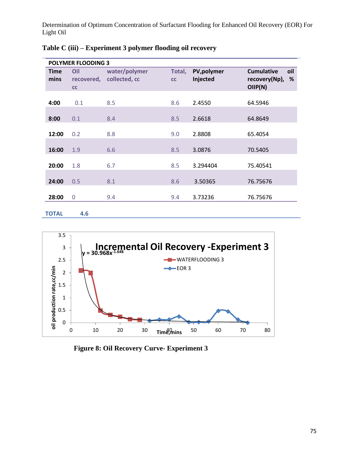|              | <b>POLYMER FLOODING 3</b> |               |        |             |                               |
|--------------|---------------------------|---------------|--------|-------------|-------------------------------|
| <b>Time</b>  | Oil                       | water/polymer | Total, | PV, polymer | <b>Cumulative</b><br>oil      |
| mins         | recovered,<br>cc          | collected, cc | cc     | Injected    | recovery(Np),<br>%<br>OIIP(N) |
| 4:00         | 0.1                       | 8.5           | 8.6    | 2.4550      | 64.5946                       |
| 8:00         | 0.1                       | 8.4           | 8.5    | 2.6618      | 64.8649                       |
| 12:00        | 0.2                       | 8.8           | 9.0    | 2.8808      | 65.4054                       |
| 16:00        | 1.9                       | 6.6           | 8.5    | 3.0876      | 70.5405                       |
| 20:00        | 1.8                       | 6.7           | 8.5    | 3.294404    | 75.40541                      |
| 24:00        | 0.5                       | 8.1           | 8.6    | 3.50365     | 76.75676                      |
| 28:00        | $\overline{0}$            | 9.4           | 9.4    | 3.73236     | 76.75676                      |
| <b>TOTAL</b> | 4.6                       |               |        |             |                               |

|  | Table C (iii) – Experiment 3 polymer flooding oil recovery |  |
|--|------------------------------------------------------------|--|
|--|------------------------------------------------------------|--|



**Figure 8: Oil Recovery Curve- Experiment 3**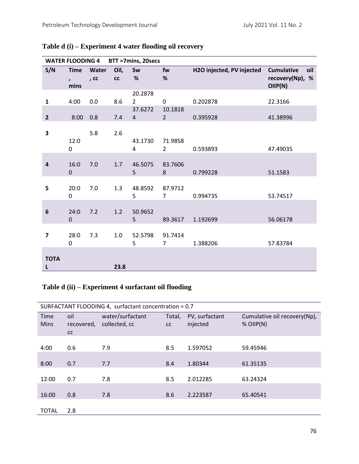|                         | <b>WATER FLOODING 4</b>             |               |            | BTT =7mins, 20secs        |                           |                           |                                                        |
|-------------------------|-------------------------------------|---------------|------------|---------------------------|---------------------------|---------------------------|--------------------------------------------------------|
| S/N                     | <b>Time</b><br>$\mathbf{r}$<br>mins | Water<br>, cc | Oil,<br>cc | Sw<br>%                   | fw<br>$\%$                | H2O injected, PV injected | <b>Cumulative</b><br>oil<br>recovery(Np), %<br>OIIP(N) |
| $\mathbf{1}$            | 4:00                                | $0.0\,$       | 8.6        | 20.2878<br>$\overline{2}$ | $\mathbf 0$               | 0.202878                  | 22.3166                                                |
| $\overline{2}$          | 8:00                                | 0.8           | 7.4        | 37.6272<br>4              | 10.1818<br>$\overline{2}$ | 0.395928                  | 41.38996                                               |
| 3                       | 12:0<br>0                           | 5.8           | 2.6        | 43.1730<br>4              | 71.9858<br>2              | 0.593893                  | 47.49035                                               |
| $\overline{\mathbf{4}}$ | 16:0<br>$\pmb{0}$                   | 7.0           | 1.7        | 46.5075<br>5              | 83.7606<br>8              | 0.799228                  | 51.1583                                                |
| 5                       | 20:0<br>$\boldsymbol{0}$            | 7.0           | 1.3        | 48.8592<br>5              | 87.9712<br>$\overline{7}$ | 0.994735                  | 53.74517                                               |
| $\boldsymbol{6}$        | 24:0<br>$\pmb{0}$                   | 7.2           | 1.2        | 50.9652<br>5              | 89.3617                   | 1.192699                  | 56.06178                                               |
| $\overline{\mathbf{z}}$ | 28:0<br>$\boldsymbol{0}$            | 7.3           | 1.0        | 52.5798<br>5              | 91.7414<br>$\overline{7}$ | 1.388206                  | 57.83784                                               |
| <b>TOTA</b><br>L        |                                     |               | 23.8       |                           |                           |                           |                                                        |

# **Table d (i) – Experiment 4 water flooding oil recovery**

### **Table d (ii) – Experiment 4 surfactant oil flooding**

| SURFACTANT FLOODING 4, surfactant concentration = 0.7 |                         |                                   |                     |                            |                                             |  |  |  |  |
|-------------------------------------------------------|-------------------------|-----------------------------------|---------------------|----------------------------|---------------------------------------------|--|--|--|--|
| Time<br><b>Mins</b>                                   | oil<br>recovered,<br>cc | water/surfactant<br>collected, cc | Total,<br><b>CC</b> | PV, surfactant<br>injected | Cumulative oil recovery(Np),<br>$%$ OIIP(N) |  |  |  |  |
| 4:00                                                  | 0.6                     | 7.9                               | 8.5                 | 1.597052                   | 59.45946                                    |  |  |  |  |
| 8:00                                                  | 0.7                     | 7.7                               | 8.4                 | 1.80344                    | 61.35135                                    |  |  |  |  |
| 12:00                                                 | 0.7                     | 7.8                               | 8.5                 | 2.012285                   | 63.24324                                    |  |  |  |  |
| 16:00                                                 | 0.8                     | 7.8                               | 8.6                 | 2.223587                   | 65.40541                                    |  |  |  |  |
| <b>TOTAL</b>                                          | 2.8                     |                                   |                     |                            |                                             |  |  |  |  |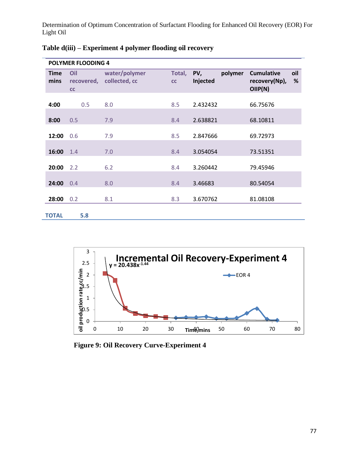| <b>POLYMER FLOODING 4</b> |                         |                                |              |                 |         |                                              |          |  |  |  |
|---------------------------|-------------------------|--------------------------------|--------------|-----------------|---------|----------------------------------------------|----------|--|--|--|
| <b>Time</b><br>mins       | Oil<br>recovered,<br>cc | water/polymer<br>collected, cc | Total,<br>cc | PV,<br>Injected | polymer | <b>Cumulative</b><br>recovery(Np),<br>OIP(N) | oil<br>% |  |  |  |
| 4:00                      | 0.5                     | 8.0                            | 8.5          | 2.432432        |         | 66.75676                                     |          |  |  |  |
| 8:00                      | 0.5                     | 7.9                            | 8.4          | 2.638821        |         | 68.10811                                     |          |  |  |  |
| 12:00                     | 0.6                     | 7.9                            | 8.5          | 2.847666        |         | 69.72973                                     |          |  |  |  |
| 16:00                     | 1.4                     | 7.0                            | 8.4          | 3.054054        |         | 73.51351                                     |          |  |  |  |
| 20:00                     | 2.2                     | 6.2                            | 8.4          | 3.260442        |         | 79.45946                                     |          |  |  |  |
| 24:00                     | 0.4                     | 8.0                            | 8.4          | 3.46683         |         | 80.54054                                     |          |  |  |  |
| 28:00                     | 0.2                     | 8.1                            | 8.3          | 3.670762        |         | 81.08108                                     |          |  |  |  |
| <b>TOTAL</b>              | 5.8                     |                                |              |                 |         |                                              |          |  |  |  |



**Figure 9: Oil Recovery Curve-Experiment 4**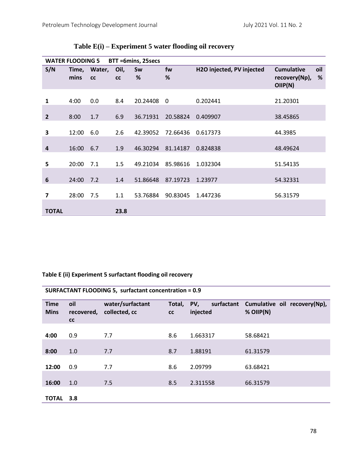|                         | <b>WATER FLOODING 5</b> |                    |            | BTT =6mins, 25secs |                         |                           |                                                           |
|-------------------------|-------------------------|--------------------|------------|--------------------|-------------------------|---------------------------|-----------------------------------------------------------|
| S/N                     | mins                    | Time, Water,<br>cc | Oil,<br>cc | Sw<br>%            | fw<br>%                 | H2O injected, PV injected | oil<br><b>Cumulative</b><br>%<br>recovery(Np),<br>OIIP(N) |
| $\mathbf{1}$            | 4:00                    | 0.0                | 8.4        | 20.24408           | $\overline{\mathbf{0}}$ | 0.202441                  | 21.20301                                                  |
| $\overline{2}$          | 8:00                    | 1.7                | 6.9        | 36.71931           | 20.58824                | 0.409907                  | 38.45865                                                  |
| 3                       | 12:00                   | 6.0                | 2.6        | 42.39052           | 72.66436                | 0.617373                  | 44.3985                                                   |
| 4                       | 16:00                   | 6.7                | 1.9        | 46.30294           | 81.14187                | 0.824838                  | 48.49624                                                  |
| 5                       | 20:00                   | 7.1                | 1.5        | 49.21034           | 85.98616                | 1.032304                  | 51.54135                                                  |
| 6                       | 24:00                   | 7.2                | 1.4        | 51.86648           | 87.19723                | 1.23977                   | 54.32331                                                  |
| $\overline{\mathbf{z}}$ | 28:00                   | 7.5                | 1.1        | 53.76884           | 90.83045                | 1.447236                  | 56.31579                                                  |
| <b>TOTAL</b>            |                         |                    | 23.8       |                    |                         |                           |                                                           |

## **Table E(i) – Experiment 5 water flooding oil recovery**

### **Table E (ii) Experiment 5 surfactant flooding oil recovery**

| <b>SURFACTANT FLOODING 5, surfactant concentration = 0.9</b> |                         |                                   |              |                               |                                             |  |  |  |  |
|--------------------------------------------------------------|-------------------------|-----------------------------------|--------------|-------------------------------|---------------------------------------------|--|--|--|--|
| <b>Time</b><br><b>Mins</b>                                   | oil<br>recovered,<br>cc | water/surfactant<br>collected, cc | Total,<br>cc | PV,<br>surfactant<br>injected | Cumulative oil recovery(Np),<br>$%$ OIIP(N) |  |  |  |  |
| 4:00                                                         | 0.9                     | 7.7                               | 8.6          | 1.663317                      | 58.68421                                    |  |  |  |  |
| 8:00                                                         | 1.0                     | 7.7                               | 8.7          | 1.88191                       | 61.31579                                    |  |  |  |  |
| 12:00                                                        | 0.9                     | 7.7                               | 8.6          | 2.09799                       | 63.68421                                    |  |  |  |  |
| 16:00                                                        | 1.0                     | 7.5                               | 8.5          | 2.311558                      | 66.31579                                    |  |  |  |  |
| <b>TOTAL</b>                                                 | 3.8                     |                                   |              |                               |                                             |  |  |  |  |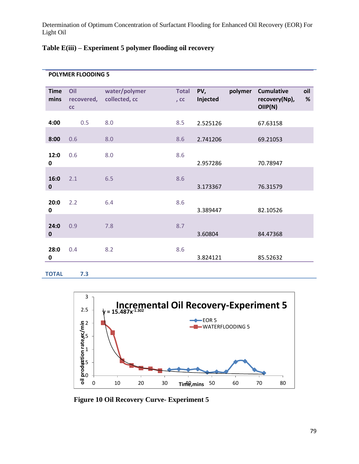## **Table E(iii) – Experiment 5 polymer flooding oil recovery**

### **POLYMER FLOODING 5**

| <b>Time</b><br>mins | Oil<br>recovered,<br>cc | water/polymer<br>collected, cc | <b>Total</b><br>$,$ CC | PV,<br>Injected | polymer | <b>Cumulative</b><br>recovery(Np),<br>OIIP(N) | oil<br>$\%$ |
|---------------------|-------------------------|--------------------------------|------------------------|-----------------|---------|-----------------------------------------------|-------------|
| 4:00                | 0.5                     | 8.0                            | 8.5                    | 2.525126        |         | 67.63158                                      |             |
| 8:00                | 0.6                     | 8.0                            | 8.6                    | 2.741206        |         | 69.21053                                      |             |
| 12:0<br>0           | 0.6                     | 8.0                            | 8.6                    | 2.957286        |         | 70.78947                                      |             |
| 16:0<br>0           | 2.1                     | 6.5                            | 8.6                    | 3.173367        |         | 76.31579                                      |             |
| 20:0<br>0           | 2.2                     | 6.4                            | 8.6                    | 3.389447        |         | 82.10526                                      |             |
| 24:0<br>$\pmb{0}$   | 0.9                     | 7.8                            | 8.7                    | 3.60804         |         | 84.47368                                      |             |
| 28:0<br>0           | 0.4                     | 8.2                            | 8.6                    | 3.824121        |         | 85.52632                                      |             |

**TOTAL 7.3**



**Figure 10 Oil Recovery Curve- Experiment 5**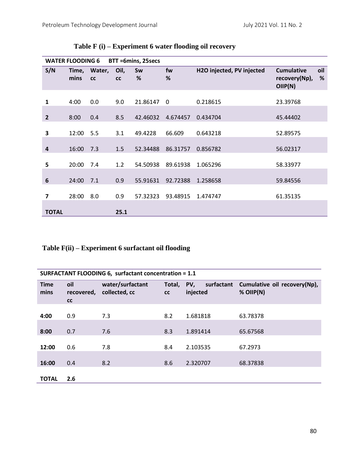|                         | <b>WATER FLOODING 6</b> |                    |            | BTT =6mins, 25secs |          |                           |                                               |          |
|-------------------------|-------------------------|--------------------|------------|--------------------|----------|---------------------------|-----------------------------------------------|----------|
| S/N                     | mins                    | Time, Water,<br>cc | Oil,<br>cc | Sw<br>%            | fw<br>%  | H2O injected, PV injected | <b>Cumulative</b><br>recovery(Np),<br>OIIP(N) | oil<br>% |
| 1                       | 4:00                    | 0.0                | 9.0        | 21.86147           | $\Omega$ | 0.218615                  | 23.39768                                      |          |
| $\overline{2}$          | 8:00                    | 0.4                | 8.5        | 42.46032           | 4.674457 | 0.434704                  | 45.44402                                      |          |
| 3                       | 12:00                   | 5.5                | 3.1        | 49.4228            | 66.609   | 0.643218                  | 52.89575                                      |          |
| 4                       | 16:00                   | 7.3                | 1.5        | 52.34488           | 86.31757 | 0.856782                  | 56.02317                                      |          |
| 5                       | 20:00                   | 7.4                | 1.2        | 54.50938           | 89.61938 | 1.065296                  | 58.33977                                      |          |
| 6                       | 24:00                   | 7.1                | 0.9        | 55.91631           | 92.72388 | 1.258658                  | 59.84556                                      |          |
| $\overline{\mathbf{z}}$ | 28:00                   | 8.0                | 0.9        | 57.32323           | 93.48915 | 1.474747                  | 61.35135                                      |          |
| <b>TOTAL</b>            |                         |                    | 25.1       |                    |          |                           |                                               |          |

**Table F (i) – Experiment 6 water flooding oil recovery**

## **Table F(ii) – Experiment 6 surfactant oil flooding**

| SURFACTANT FLOODING 6, surfactant concentration = 1.1 |                         |                                   |              |                               |                                             |  |  |  |  |
|-------------------------------------------------------|-------------------------|-----------------------------------|--------------|-------------------------------|---------------------------------------------|--|--|--|--|
| <b>Time</b><br>mins                                   | oil<br>recovered,<br>cc | water/surfactant<br>collected, cc | Total,<br>cc | PV,<br>surfactant<br>injected | Cumulative oil recovery(Np),<br>$%$ OIIP(N) |  |  |  |  |
| 4:00                                                  | 0.9                     | 7.3                               | 8.2          | 1.681818                      | 63.78378                                    |  |  |  |  |
| 8:00                                                  | 0.7                     | 7.6                               | 8.3          | 1.891414                      | 65.67568                                    |  |  |  |  |
| 12:00                                                 | 0.6                     | 7.8                               | 8.4          | 2.103535                      | 67.2973                                     |  |  |  |  |
| 16:00                                                 | 0.4                     | 8.2                               | 8.6          | 2.320707                      | 68.37838                                    |  |  |  |  |
| <b>TOTAL</b>                                          | 2.6                     |                                   |              |                               |                                             |  |  |  |  |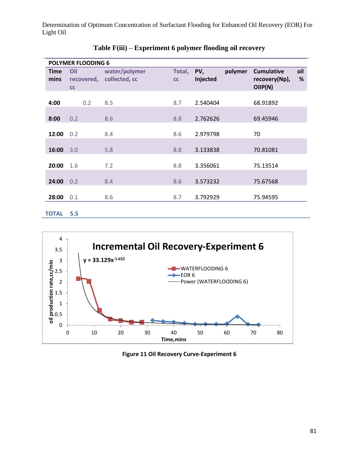|              | <b>POLYMER FLOODING 6</b> |                          |        |          |         |                   |      |  |  |  |  |
|--------------|---------------------------|--------------------------|--------|----------|---------|-------------------|------|--|--|--|--|
| <b>Time</b>  | Oil                       | water/polymer            | Total, | PV,      | polymer | <b>Cumulative</b> | oil  |  |  |  |  |
| mins         |                           | recovered, collected, cc | cc     | Injected |         | recovery(Np),     | $\%$ |  |  |  |  |
|              | cc                        |                          |        |          |         | OIP(N)            |      |  |  |  |  |
|              |                           |                          |        |          |         |                   |      |  |  |  |  |
| 4:00         | 0.2                       | 8.5                      | 8.7    | 2.540404 |         | 68.91892          |      |  |  |  |  |
|              |                           |                          |        |          |         |                   |      |  |  |  |  |
| 8:00         | 0.2                       | 8.6                      | 8.8    | 2.762626 |         | 69.45946          |      |  |  |  |  |
|              |                           |                          |        |          |         |                   |      |  |  |  |  |
| 12:00        | 0.2                       | 8.4                      | 8.6    | 2.979798 |         | 70                |      |  |  |  |  |
|              |                           |                          |        |          |         |                   |      |  |  |  |  |
| 16:00        | 3.0                       | 5.8                      | 8.8    | 3.133838 |         | 70.81081          |      |  |  |  |  |
|              |                           |                          |        |          |         |                   |      |  |  |  |  |
| 20:00        | 1.6                       | 7.2                      | 8.8    | 3.356061 |         | 75.13514          |      |  |  |  |  |
|              |                           |                          |        |          |         |                   |      |  |  |  |  |
| 24:00        | 0.2                       | 8.4                      | 8.6    | 3.573232 |         | 75.67568          |      |  |  |  |  |
|              |                           |                          |        |          |         |                   |      |  |  |  |  |
| 28:00        | 0.1                       | 8.6                      | 8.7    | 3.792929 |         | 75.94595          |      |  |  |  |  |
|              |                           |                          |        |          |         |                   |      |  |  |  |  |
| <b>TOTAL</b> | 5.5                       |                          |        |          |         |                   |      |  |  |  |  |

**Table F(iii) – Experiment 6 polymer flooding oil recovery**



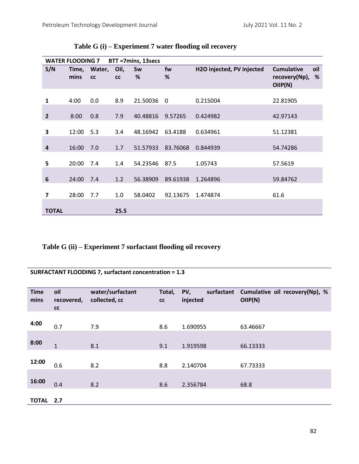|                | <b>WATER FLOODING 7</b> |                    |            | BTT =7mins, 13secs |                         |                           |                                                          |
|----------------|-------------------------|--------------------|------------|--------------------|-------------------------|---------------------------|----------------------------------------------------------|
| S/N            | mins                    | Time, Water,<br>cc | Oil,<br>cc | Sw<br>%            | fw<br>%                 | H2O injected, PV injected | oil<br><b>Cumulative</b><br>recovery(Np),<br>%<br>OIP(N) |
| $\mathbf{1}$   | 4:00                    | 0.0                | 8.9        | 21.50036           | $\overline{\mathbf{0}}$ | 0.215004                  | 22.81905                                                 |
| $\overline{2}$ | 8:00                    | 0.8                | 7.9        | 40.48816           | 9.57265                 | 0.424982                  | 42.97143                                                 |
| 3              | 12:00                   | 5.3                | 3.4        | 48.16942           | 63.4188                 | 0.634961                  | 51.12381                                                 |
| $\overline{4}$ | 16:00                   | 7.0                | 1.7        | 51.57933           | 83.76068                | 0.844939                  | 54.74286                                                 |
| 5              | 20:00                   | 7.4                | 1.4        | 54.23546           | 87.5                    | 1.05743                   | 57.5619                                                  |
| 6              | 24:00                   | 7.4                | 1.2        | 56.38909           | 89.61938                | 1.264896                  | 59.84762                                                 |
| 7              | 28:00                   | 7.7                | 1.0        | 58.0402            | 92.13675                | 1.474874                  | 61.6                                                     |
| <b>TOTAL</b>   |                         |                    | 25.5       |                    |                         |                           |                                                          |

## **Table G (i) – Experiment 7 water flooding oil recovery**

**Table G (ii) – Experiment 7 surfactant flooding oil recovery**

**SURFACTANT FLOODING 7, surfactant concentration = 1.3**

| <b>Time</b><br>mins | oil<br>recovered,<br>cc | water/surfactant<br>collected, cc | Total,<br>cc | PV,<br>surfactant<br>injected | Cumulative oil recovery(Np), %<br>OIP(N) |
|---------------------|-------------------------|-----------------------------------|--------------|-------------------------------|------------------------------------------|
| 4:00                | 0.7                     | 7.9                               | 8.6          | 1.690955                      | 63.46667                                 |
| 8:00                | $\mathbf{1}$            | 8.1                               | 9.1          | 1.919598                      | 66.13333                                 |
| 12:00               | 0.6                     | 8.2                               | 8.8          | 2.140704                      | 67.73333                                 |
| 16:00               | 0.4                     | 8.2                               | 8.6          | 2.356784                      | 68.8                                     |
| <b>TOTAL</b>        | 2.7                     |                                   |              |                               |                                          |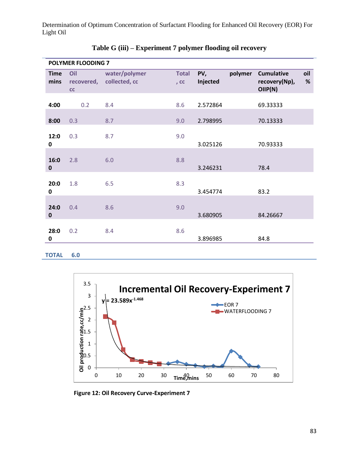| <b>POLYMER FLOODING 7</b> |                         |                                |                        |                 |         |                                               |             |
|---------------------------|-------------------------|--------------------------------|------------------------|-----------------|---------|-----------------------------------------------|-------------|
| <b>Time</b><br>mins       | Oil<br>recovered,<br>cc | water/polymer<br>collected, cc | <b>Total</b><br>$,$ CC | PV,<br>Injected | polymer | <b>Cumulative</b><br>recovery(Np),<br>OIIP(N) | oil<br>$\%$ |
| 4:00                      | 0.2                     | 8.4                            | 8.6                    | 2.572864        |         | 69.33333                                      |             |
| 8:00                      | 0.3                     | 8.7                            | 9.0                    | 2.798995        |         | 70.13333                                      |             |
| 12:0<br>0                 | 0.3                     | 8.7                            | 9.0                    | 3.025126        |         | 70.93333                                      |             |
| 16:0<br>$\mathbf 0$       | 2.8                     | 6.0                            | 8.8                    | 3.246231        |         | 78.4                                          |             |
| 20:0<br>0                 | 1.8                     | 6.5                            | 8.3                    | 3.454774        |         | 83.2                                          |             |
| 24:0<br>$\mathbf 0$       | 0.4                     | 8.6                            | 9.0                    | 3.680905        |         | 84.26667                                      |             |
| 28:0<br>0                 | 0.2                     | 8.4                            | 8.6                    | 3.896985        |         | 84.8                                          |             |

| Table G (iii) – Experiment 7 polymer flooding oil recovery |  |  |  |  |
|------------------------------------------------------------|--|--|--|--|
|------------------------------------------------------------|--|--|--|--|

**TOTAL 6.0**



**Figure 12: Oil Recovery Curve-Experiment 7**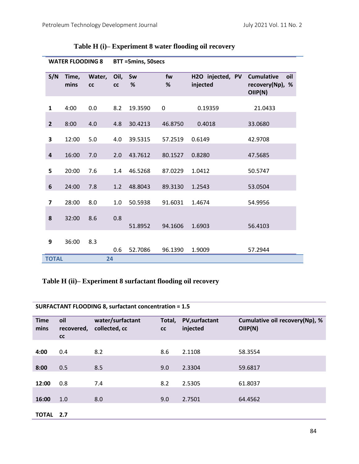| <b>WATER FLOODING 8</b> |               |                     | BTT =5mins, 50secs |         |         |                              |                                                        |
|-------------------------|---------------|---------------------|--------------------|---------|---------|------------------------------|--------------------------------------------------------|
| S/N                     | Time,<br>mins | Water,<br><b>CC</b> | Oil,<br><b>CC</b>  | Sw<br>% | fw<br>% | H2O injected, PV<br>injected | oil<br><b>Cumulative</b><br>recovery(Np), %<br>OIIP(N) |
| $\mathbf{1}$            | 4:00          | 0.0                 | 8.2                | 19.3590 | 0       | 0.19359                      | 21.0433                                                |
| $\mathbf{2}$            | 8:00          | 4.0                 | 4.8                | 30.4213 | 46.8750 | 0.4018                       | 33.0680                                                |
| 3                       | 12:00         | 5.0                 | 4.0                | 39.5315 | 57.2519 | 0.6149                       | 42.9708                                                |
| 4                       | 16:00         | 7.0                 | 2.0                | 43.7612 | 80.1527 | 0.8280                       | 47.5685                                                |
| 5                       | 20:00         | 7.6                 | 1.4                | 46.5268 | 87.0229 | 1.0412                       | 50.5747                                                |
| 6                       | 24:00         | 7.8                 | 1.2                | 48.8043 | 89.3130 | 1.2543                       | 53.0504                                                |
| 7                       | 28:00         | 8.0                 | 1.0                | 50.5938 | 91.6031 | 1.4674                       | 54.9956                                                |
| 8                       | 32:00         | 8.6                 | 0.8                | 51.8952 | 94.1606 | 1.6903                       | 56.4103                                                |
| 9                       | 36:00         | 8.3                 | 0.6                | 52.7086 | 96.1390 | 1.9009                       | 57.2944                                                |
| <b>TOTAL</b>            |               |                     | 24                 |         |         |                              |                                                        |

**Table H (i)– Experiment 8 water flooding oil recovery**

## **Table H (ii)– Experiment 8 surfactant flooding oil recovery**

| <b>Time</b><br>mins | oil<br>recovered,<br>cc | water/surfactant<br>collected, cc | Total,<br>cc | <b>PV,surfactant</b><br>injected | Cumulative oil recovery(Np), %<br>OIIP(N) |
|---------------------|-------------------------|-----------------------------------|--------------|----------------------------------|-------------------------------------------|
| 4:00                | 0.4                     | 8.2                               | 8.6          | 2.1108                           | 58.3554                                   |
| 8:00                | 0.5                     | 8.5                               | 9.0          | 2.3304                           | 59.6817                                   |
| 12:00               | 0.8                     | 7.4                               | 8.2          | 2.5305                           | 61.8037                                   |
| 16:00               | 1.0                     | 8.0                               | 9.0          | 2.7501                           | 64.4562                                   |
| <b>TOTAL</b>        | 2.7                     |                                   |              |                                  |                                           |

**SURFACTANT FLOODING 8, surfactant concentration = 1.5**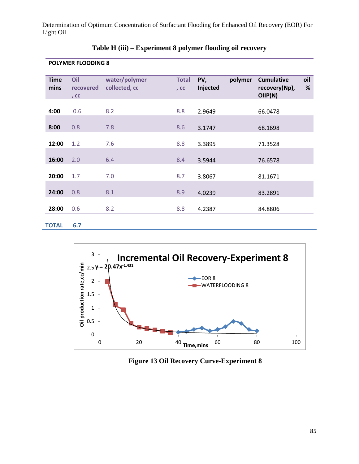| <b>Time</b><br>mins | Oil<br>recovered<br>, $cc$ | water/polymer<br>collected, cc | <b>Total</b><br>, CC | PV,<br>Injected | polymer | <b>Cumulative</b><br>recovery(Np),<br>OIIP(N) | oil<br>$\%$ |
|---------------------|----------------------------|--------------------------------|----------------------|-----------------|---------|-----------------------------------------------|-------------|
| 4:00                | 0.6                        | 8.2                            | 8.8                  | 2.9649          |         | 66.0478                                       |             |
| 8:00                | 0.8                        | 7.8                            | 8.6                  | 3.1747          |         | 68.1698                                       |             |
| 12:00               | 1.2                        | 7.6                            | 8.8                  | 3.3895          |         | 71.3528                                       |             |
| 16:00               | 2.0                        | 6.4                            | 8.4                  | 3.5944          |         | 76.6578                                       |             |
| 20:00               | 1.7                        | 7.0                            | 8.7                  | 3.8067          |         | 81.1671                                       |             |
| 24:00               | 0.8                        | 8.1                            | 8.9                  | 4.0239          |         | 83.2891                                       |             |
| 28:00               | 0.6                        | 8.2                            | 8.8                  | 4.2387          |         | 84.8806                                       |             |
| <b>TOTAL</b>        | 6.7                        |                                |                      |                 |         |                                               |             |

**Table H (iii) – Experiment 8 polymer flooding oil recovery**

**POLYMER FLOODING 8**



**Figure 13 Oil Recovery Curve-Experiment 8**